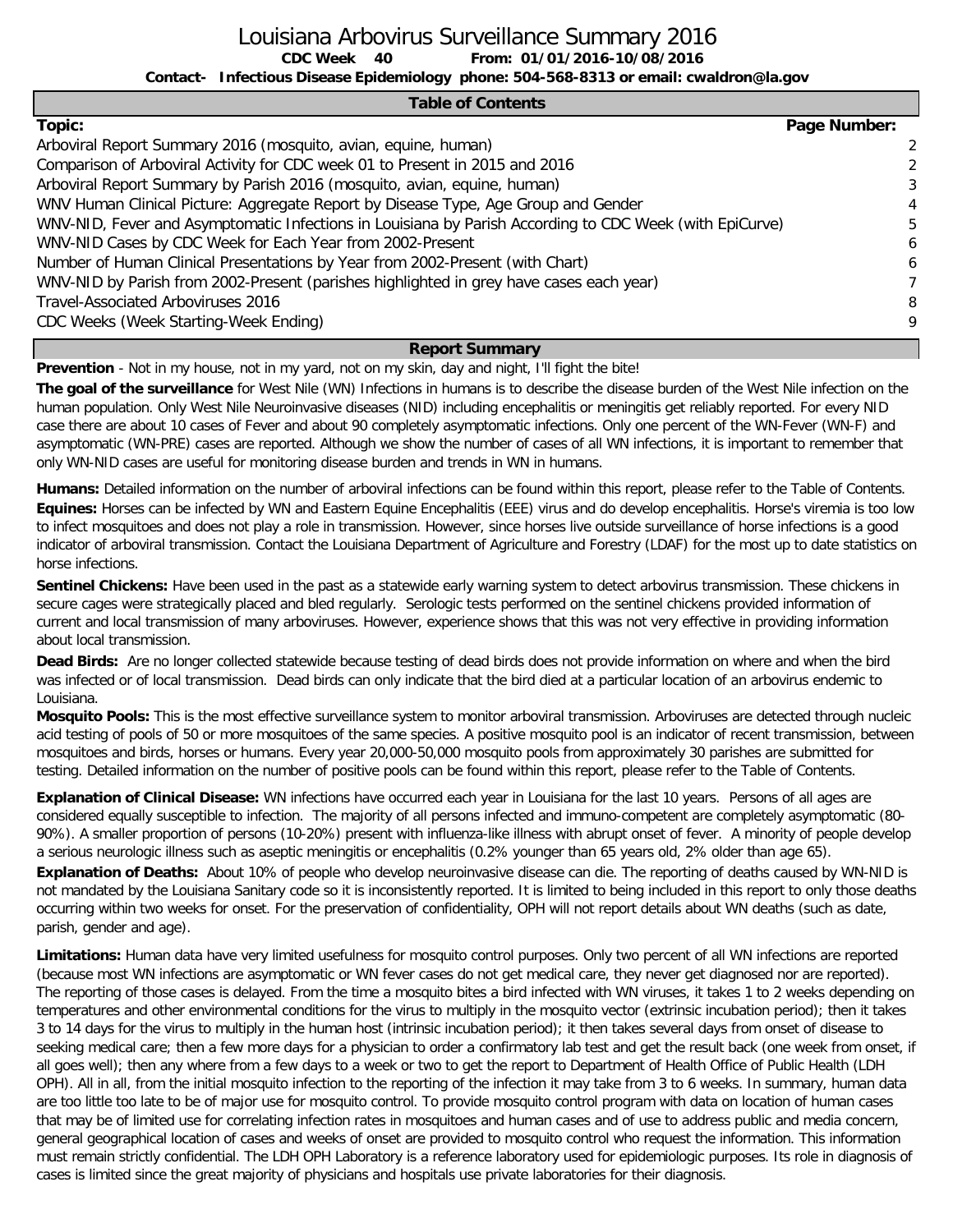Louisiana Arbovirus Surveillance Summary 2016

**CDC Week From: 01/01/2016-10/08/2016**

**Contact- Infectious Disease Epidemiology phone: 504-568-8313 or email: cwaldron@la.gov**

### **Table of Contents**

| Topic:                                                                                                  | Page Number: |
|---------------------------------------------------------------------------------------------------------|--------------|
| Arboviral Report Summary 2016 (mosquito, avian, equine, human)                                          | -2           |
| Comparison of Arboviral Activity for CDC week 01 to Present in 2015 and 2016                            | 2            |
| Arboviral Report Summary by Parish 2016 (mosquito, avian, equine, human)                                | 3            |
| WNV Human Clinical Picture: Aggregate Report by Disease Type, Age Group and Gender                      | 4            |
| WNV-NID, Fever and Asymptomatic Infections in Louisiana by Parish According to CDC Week (with EpiCurve) | 5            |
| WNV-NID Cases by CDC Week for Each Year from 2002-Present                                               | 6            |
| Number of Human Clinical Presentations by Year from 2002-Present (with Chart)                           | 6            |
| WNV-NID by Parish from 2002-Present (parishes highlighted in grey have cases each year)                 |              |
| Travel-Associated Arboviruses 2016                                                                      | 8            |
| CDC Weeks (Week Starting-Week Ending)                                                                   | 9            |
| . .                                                                                                     |              |

### **Report Summary**

**Prevention** - Not in my house, not in my yard, not on my skin, day and night, I'll fight the bite!

CDC Week 40

**The goal of the surveillance** for West Nile (WN) Infections in humans is to describe the disease burden of the West Nile infection on the human population. Only West Nile Neuroinvasive diseases (NID) including encephalitis or meningitis get reliably reported. For every NID case there are about 10 cases of Fever and about 90 completely asymptomatic infections. Only one percent of the WN-Fever (WN-F) and asymptomatic (WN-PRE) cases are reported. Although we show the number of cases of all WN infections, it is important to remember that only WN-NID cases are useful for monitoring disease burden and trends in WN in humans.

**Humans:** Detailed information on the number of arboviral infections can be found within this report, please refer to the Table of Contents. **Equines:** Horses can be infected by WN and Eastern Equine Encephalitis (EEE) virus and do develop encephalitis. Horse's viremia is too low to infect mosquitoes and does not play a role in transmission. However, since horses live outside surveillance of horse infections is a good indicator of arboviral transmission. Contact the Louisiana Department of Agriculture and Forestry (LDAF) for the most up to date statistics on horse infections.

**Sentinel Chickens:** Have been used in the past as a statewide early warning system to detect arbovirus transmission. These chickens in secure cages were strategically placed and bled regularly. Serologic tests performed on the sentinel chickens provided information of current and local transmission of many arboviruses. However, experience shows that this was not very effective in providing information about local transmission.

**Dead Birds:** Are no longer collected statewide because testing of dead birds does not provide information on where and when the bird was infected or of local transmission. Dead birds can only indicate that the bird died at a particular location of an arbovirus endemic to Louisiana.

**Mosquito Pools:** This is the most effective surveillance system to monitor arboviral transmission. Arboviruses are detected through nucleic acid testing of pools of 50 or more mosquitoes of the same species. A positive mosquito pool is an indicator of recent transmission, between mosquitoes and birds, horses or humans. Every year 20,000-50,000 mosquito pools from approximately 30 parishes are submitted for testing. Detailed information on the number of positive pools can be found within this report, please refer to the Table of Contents.

**Explanation of Clinical Disease:** WN infections have occurred each year in Louisiana for the last 10 years. Persons of all ages are considered equally susceptible to infection. The majority of all persons infected and immuno-competent are completely asymptomatic (80- 90%). A smaller proportion of persons (10-20%) present with influenza-like illness with abrupt onset of fever. A minority of people develop a serious neurologic illness such as aseptic meningitis or encephalitis (0.2% younger than 65 years old, 2% older than age 65). **Explanation of Deaths:** About 10% of people who develop neuroinvasive disease can die. The reporting of deaths caused by WN-NID is not mandated by the Louisiana Sanitary code so it is inconsistently reported. It is limited to being included in this report to only those deaths occurring within two weeks for onset. For the preservation of confidentiality, OPH will not report details about WN deaths (such as date, parish, gender and age).

**Limitations:** Human data have very limited usefulness for mosquito control purposes. Only two percent of all WN infections are reported (because most WN infections are asymptomatic or WN fever cases do not get medical care, they never get diagnosed nor are reported). The reporting of those cases is delayed. From the time a mosquito bites a bird infected with WN viruses, it takes 1 to 2 weeks depending on temperatures and other environmental conditions for the virus to multiply in the mosquito vector (extrinsic incubation period); then it takes 3 to 14 days for the virus to multiply in the human host (intrinsic incubation period); it then takes several days from onset of disease to seeking medical care; then a few more days for a physician to order a confirmatory lab test and get the result back (one week from onset, if all goes well); then any where from a few days to a week or two to get the report to Department of Health Office of Public Health (LDH OPH). All in all, from the initial mosquito infection to the reporting of the infection it may take from 3 to 6 weeks. In summary, human data are too little too late to be of major use for mosquito control. To provide mosquito control program with data on location of human cases that may be of limited use for correlating infection rates in mosquitoes and human cases and of use to address public and media concern, general geographical location of cases and weeks of onset are provided to mosquito control who request the information. This information must remain strictly confidential. The LDH OPH Laboratory is a reference laboratory used for epidemiologic purposes. Its role in diagnosis of cases is limited since the great majority of physicians and hospitals use private laboratories for their diagnosis.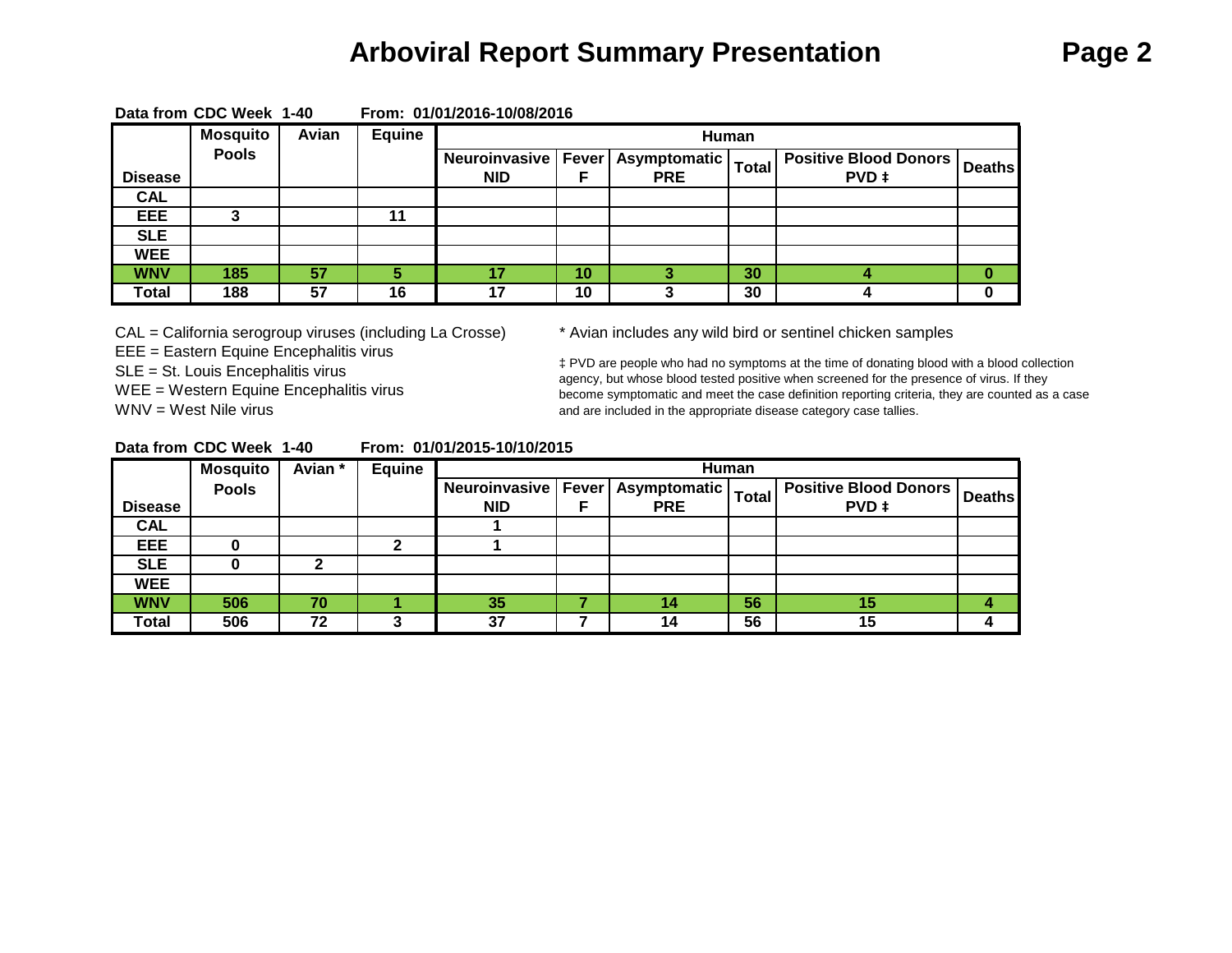# **Arboviral Report Summary Presentation Page 2**

|                | <b>Mosquito</b> | Avian | Equine |            |    | Human                                |              |                                    |  |
|----------------|-----------------|-------|--------|------------|----|--------------------------------------|--------------|------------------------------------|--|
|                | <b>Pools</b>    |       |        |            |    | Neuroinvasive   Fever   Asymptomatic | <b>Total</b> | .   Positive Blood Donors   Deaths |  |
| <b>Disease</b> |                 |       |        | <b>NID</b> |    | <b>PRE</b>                           |              | <b>PVD</b> ‡                       |  |
| <b>CAL</b>     |                 |       |        |            |    |                                      |              |                                    |  |
| EEE            |                 |       | 11     |            |    |                                      |              |                                    |  |
| <b>SLE</b>     |                 |       |        |            |    |                                      |              |                                    |  |
| <b>WEE</b>     |                 |       |        |            |    |                                      |              |                                    |  |
| <b>WNV</b>     | 185             | 57    |        | 47         | 10 |                                      | 30           |                                    |  |
| Total          | 188             | 57    | 16     | 17         | 10 |                                      | 30           |                                    |  |

**Data from CDC Week 1-40 From: 01/01/2016-10/08/2016**

CAL = California serogroup viruses (including La Crosse) \* Avian includes any wild bird or sentinel chicken samples EEE = Eastern Equine Encephalitis virus SLE = St. Louis Encephalitis virus WEE = Western Equine Encephalitis virus WNV = West Nile virus

‡ PVD are people who had no symptoms at the time of donating blood with a blood collection agency, but whose blood tested positive when screened for the presence of virus. If they become symptomatic and meet the case definition reporting criteria, they are counted as a case and are included in the appropriate disease category case tallies.

| Data from CDC Week 1-40 |  | From: 01/01/2015-10/10/2015 |
|-------------------------|--|-----------------------------|
|                         |  |                             |

|                | <b>Mosquito</b> | Avian * | <b>Equine</b> |     |                                      | Human        |                              |               |
|----------------|-----------------|---------|---------------|-----|--------------------------------------|--------------|------------------------------|---------------|
|                | <b>Pools</b>    |         |               |     | Neuroinvasive   Fever   Asymptomatic | <b>Total</b> | <b>Positive Blood Donors</b> | <b>Deaths</b> |
| <b>Disease</b> |                 |         |               | NID | <b>PRE</b>                           |              | PVD ‡                        |               |
| <b>CAL</b>     |                 |         |               |     |                                      |              |                              |               |
| <b>EEE</b>     |                 |         |               |     |                                      |              |                              |               |
| <b>SLE</b>     |                 |         |               |     |                                      |              |                              |               |
| <b>WEE</b>     |                 |         |               |     |                                      |              |                              |               |
| <b>WNV</b>     | 506             | 70      |               | 35  | 14                                   | 56           | 15                           |               |
| Total          | 506             | 72      |               | 37  | 14                                   | 56           | 15                           |               |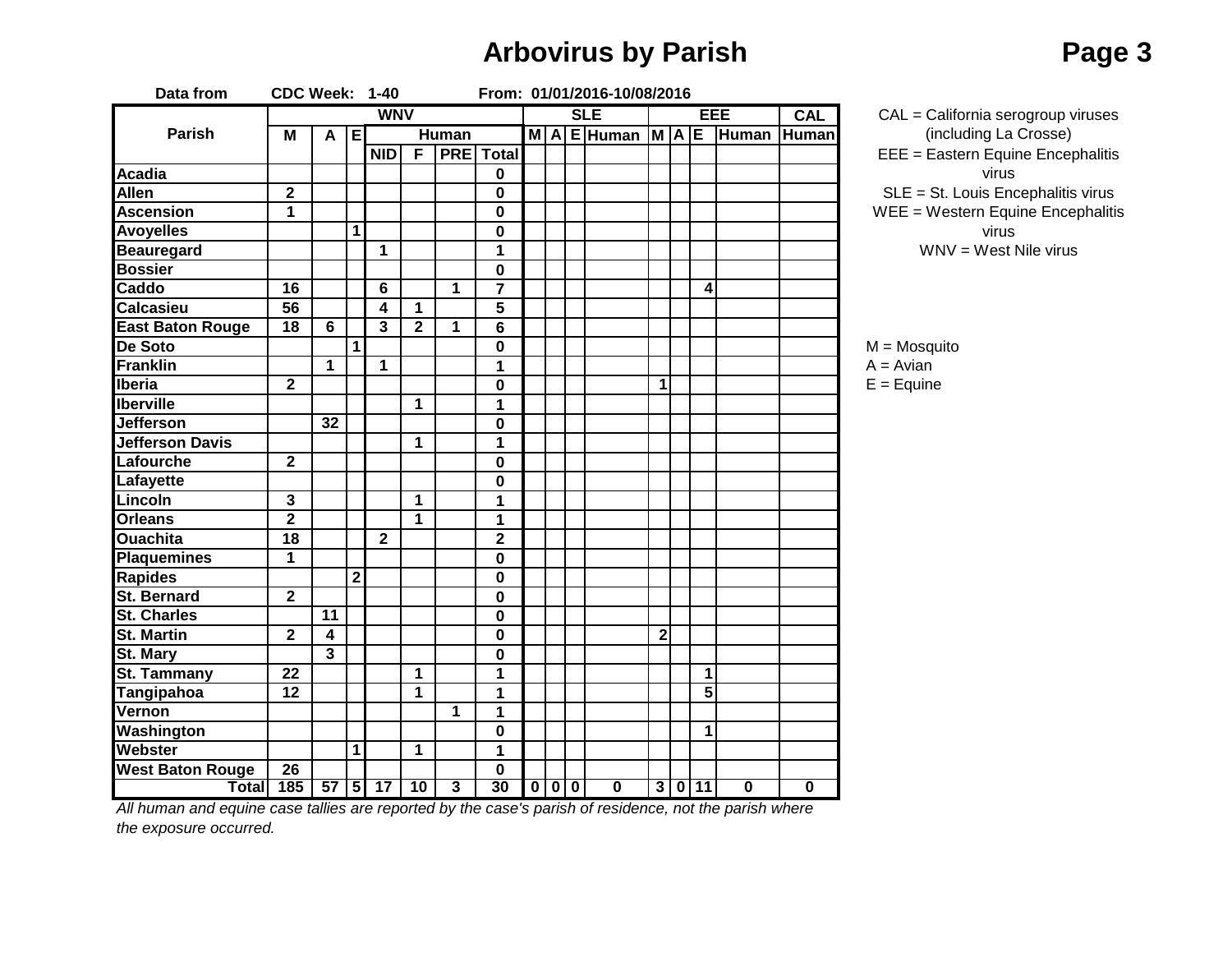# **Arbovirus by Parish Page 3**

| Data from               | CDC Week: 1-40          |                         |                |                         |                |                |                         |  |       | From: 01/01/2016-10/08/2016 |             |                         |                         |                         |                 |
|-------------------------|-------------------------|-------------------------|----------------|-------------------------|----------------|----------------|-------------------------|--|-------|-----------------------------|-------------|-------------------------|-------------------------|-------------------------|-----------------|
|                         |                         |                         |                | <b>WNV</b>              |                |                |                         |  |       | <b>SLE</b>                  |             |                         | EEE                     | <b>CAL</b>              | $CAL = Calif$   |
| Parish                  | M                       | A                       | E              |                         |                | <b>Human</b>   |                         |  |       | MAEHuman MAE Human          |             |                         |                         | Human                   | (inclu          |
|                         |                         |                         |                | <b>NID</b>              | F              |                | <b>PRE</b> Total        |  |       |                             |             |                         |                         |                         | $EEE = East$    |
| <b>Acadia</b>           |                         |                         |                |                         |                |                | $\mathbf 0$             |  |       |                             |             |                         |                         |                         |                 |
| <b>Allen</b>            | $\overline{\mathbf{2}}$ |                         |                |                         |                |                | $\pmb{0}$               |  |       |                             |             |                         |                         |                         | $SLE = St. L$   |
| <b>Ascension</b>        | 1                       |                         |                |                         |                |                | $\mathbf 0$             |  |       |                             |             |                         |                         |                         | $WEE = Wes$     |
| <b>Avoyelles</b>        |                         |                         | 1              |                         |                |                | $\pmb{0}$               |  |       |                             |             |                         |                         |                         |                 |
| <b>Beauregard</b>       |                         |                         |                | $\mathbf{1}$            |                |                | 1                       |  |       |                             |             |                         |                         |                         | <b>WNV</b>      |
| <b>Bossier</b>          |                         |                         |                |                         |                |                | $\mathbf 0$             |  |       |                             |             |                         |                         |                         |                 |
| Caddo                   | $\overline{16}$         |                         |                | 6                       |                | $\mathbf{1}$   | $\overline{\mathbf{7}}$ |  |       |                             |             | 4                       |                         |                         |                 |
| <b>Calcasieu</b>        | $\overline{56}$         |                         |                | $\overline{\mathbf{4}}$ | 1              |                | 5                       |  |       |                             |             |                         |                         |                         |                 |
| <b>East Baton Rouge</b> | $\overline{18}$         | 6                       |                | 3                       | $\overline{2}$ | 1              | 6                       |  |       |                             |             |                         |                         |                         |                 |
| De Soto                 |                         |                         | 1              |                         |                |                | $\bf{0}$                |  |       |                             |             |                         |                         |                         | $M = M$ osquito |
| <b>Franklin</b>         |                         | $\mathbf{1}$            |                | $\mathbf{1}$            |                |                | 1                       |  |       |                             |             |                         |                         |                         | $A = Avian$     |
| Iberia                  | $\overline{2}$          |                         |                |                         |                |                | $\bf{0}$                |  |       |                             | $\mathbf 1$ |                         |                         |                         | $E = Equine$    |
| <b>Iberville</b>        |                         |                         |                |                         | 1              |                | 1                       |  |       |                             |             |                         |                         |                         |                 |
| <b>Jefferson</b>        |                         | $\overline{32}$         |                |                         |                |                | $\bf{0}$                |  |       |                             |             |                         |                         |                         |                 |
| <b>Jefferson Davis</b>  |                         |                         |                |                         | 1              |                | 1                       |  |       |                             |             |                         |                         |                         |                 |
| Lafourche               | $\mathbf{2}$            |                         |                |                         |                |                | $\bf{0}$                |  |       |                             |             |                         |                         |                         |                 |
| <b>Lafayette</b>        |                         |                         |                |                         |                |                | $\mathbf 0$             |  |       |                             |             |                         |                         |                         |                 |
| Lincoln                 | $\overline{\mathbf{3}}$ |                         |                |                         | $\overline{1}$ |                | 1                       |  |       |                             |             |                         |                         |                         |                 |
| <b>Orleans</b>          | $\overline{2}$          |                         |                |                         | $\mathbf 1$    |                | 1                       |  |       |                             |             |                         |                         |                         |                 |
| <b>Ouachita</b>         | $\overline{18}$         |                         |                | $\overline{2}$          |                |                | $\overline{\mathbf{2}}$ |  |       |                             |             |                         |                         |                         |                 |
| <b>Plaquemines</b>      | 1                       |                         |                |                         |                |                | 0                       |  |       |                             |             |                         |                         |                         |                 |
| <b>Rapides</b>          |                         |                         | $\overline{2}$ |                         |                |                | 0                       |  |       |                             |             |                         |                         |                         |                 |
| <b>St. Bernard</b>      | $\overline{2}$          |                         |                |                         |                |                | $\mathbf 0$             |  |       |                             |             |                         |                         |                         |                 |
| <b>St. Charles</b>      |                         | 11                      |                |                         |                |                | 0                       |  |       |                             |             |                         |                         |                         |                 |
| <b>St. Martin</b>       | $\mathbf{2}$            | 4                       |                |                         |                |                | 0                       |  |       |                             | $\mathbf 2$ |                         |                         |                         |                 |
| <b>St. Mary</b>         |                         | $\overline{\mathbf{3}}$ |                |                         |                |                | $\pmb{0}$               |  |       |                             |             |                         |                         |                         |                 |
| St. Tammany             | 22                      |                         |                |                         | 1              |                | $\overline{1}$          |  |       |                             |             | 1                       |                         |                         |                 |
| <b>Tangipahoa</b>       | 12                      |                         |                |                         | $\overline{1}$ |                | $\overline{1}$          |  |       |                             |             | $\overline{\mathbf{5}}$ |                         |                         |                 |
| Vernon                  |                         |                         |                |                         |                | 1              | 1                       |  |       |                             |             |                         |                         |                         |                 |
| Washington              |                         |                         |                |                         |                |                | $\mathbf 0$             |  |       |                             |             | 1                       |                         |                         |                 |
| <b>Webster</b>          |                         |                         | 1              |                         | 1              |                | 1                       |  |       |                             |             |                         |                         |                         |                 |
| <b>West Baton Rouge</b> | 26                      |                         |                |                         |                |                | $\pmb{0}$               |  |       |                             |             |                         |                         |                         |                 |
| Total                   | 185                     |                         |                | $57$ 5 17               | 10             | $\overline{3}$ | 30                      |  | 0 0 0 | $\overline{\mathbf{0}}$     |             | 3 0 11                  | $\overline{\mathbf{0}}$ | $\overline{\mathbf{0}}$ |                 |

SLE = St. Louis Encephalitis virus WEE = Western Equine Encephalitis virus CAL = California serogroup viruses (including La Crosse) EEE = Eastern Equine Encephalitis virus

WNV = West Nile virus

*All human and equine case tallies are reported by the case's parish of residence, not the parish where the exposure occurred.*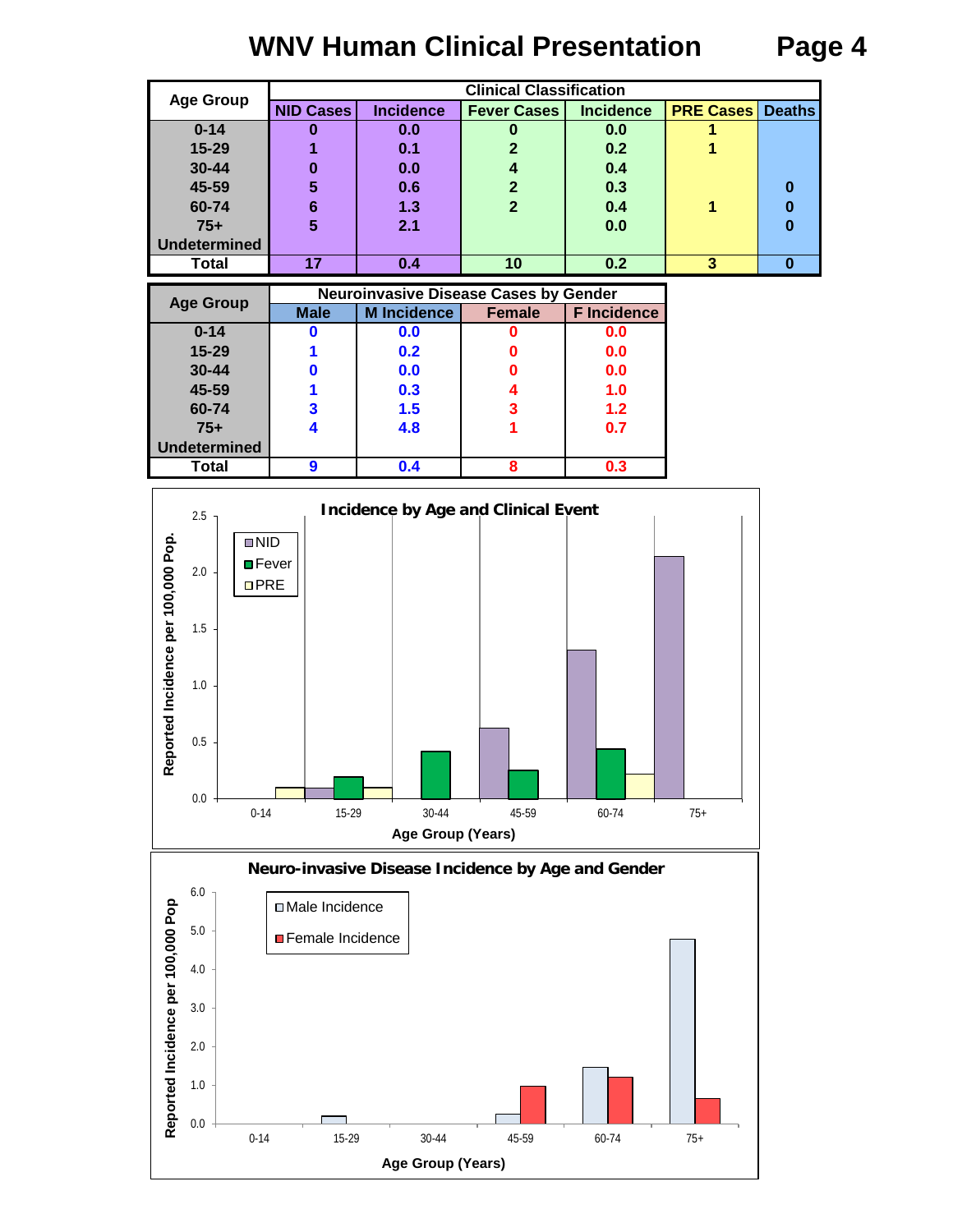# **WNV Human Clinical Presentation Page 4**

|                                  |                  |                                              | <b>Clinical Classification</b> |                    |                         |               |
|----------------------------------|------------------|----------------------------------------------|--------------------------------|--------------------|-------------------------|---------------|
| <b>Age Group</b>                 | <b>NID Cases</b> | <b>Incidence</b>                             | <b>Fever Cases</b>             | <b>Incidence</b>   | <b>PRE Cases</b>        | <b>Deaths</b> |
| $0 - 14$                         | $\bf{0}$         | 0.0                                          | 0                              | 0.0                |                         |               |
| $15 - 29$                        | 1                | 0.1                                          | $\overline{2}$                 | 0.2                |                         |               |
| 30-44                            | 0                | 0.0                                          | 4                              | 0.4                |                         |               |
| 45-59                            | 5                | 0.6                                          | $\overline{2}$                 | 0.3                |                         | $\bf{0}$      |
| 60-74                            | $6\phantom{1}$   | $1.3$                                        | $\overline{2}$                 | 0.4                | 1                       | $\bf{0}$      |
| $75+$                            | 5                | 2.1                                          |                                | 0.0                |                         | $\bf{0}$      |
| <b>Undetermined</b>              |                  |                                              |                                |                    |                         |               |
| Total                            | $\overline{17}$  | 0.4                                          | 10                             | 0.2                | $\overline{\mathbf{3}}$ | $\bf{0}$      |
|                                  |                  | <b>Neuroinvasive Disease Cases by Gender</b> |                                |                    |                         |               |
| <b>Age Group</b>                 | <b>Male</b>      | <b>M</b> Incidence                           | <b>Female</b>                  | <b>F</b> Incidence |                         |               |
| $0 - 14$                         | 0                | 0.0                                          | 0                              | 0.0                |                         |               |
| 15-29                            |                  | 0.2                                          | n                              | 0.0                |                         |               |
| 30-44                            | 0                | 0.0                                          | O                              | 0.0                |                         |               |
| 45-59                            | 1                | 0.3                                          | 4                              | 1.0                |                         |               |
| 60-74                            | 3                | 1.5                                          | 3                              | 1.2                |                         |               |
| $75+$                            | 4                | 4.8                                          | 1                              | 0.7                |                         |               |
| <b>Undetermined</b>              |                  |                                              |                                |                    |                         |               |
| <b>Total</b>                     | $\boldsymbol{9}$ | 0.4                                          | 8                              | 0.3                |                         |               |
| 2.5<br>$\blacksquare$ NID<br>2.0 | <b>□</b> Fever   | <b>Incidence by Age and Clinical Event</b>   |                                |                    |                         |               |
| per 100,000 Pop.<br>DPRE<br>1.5  |                  |                                              |                                |                    |                         |               |



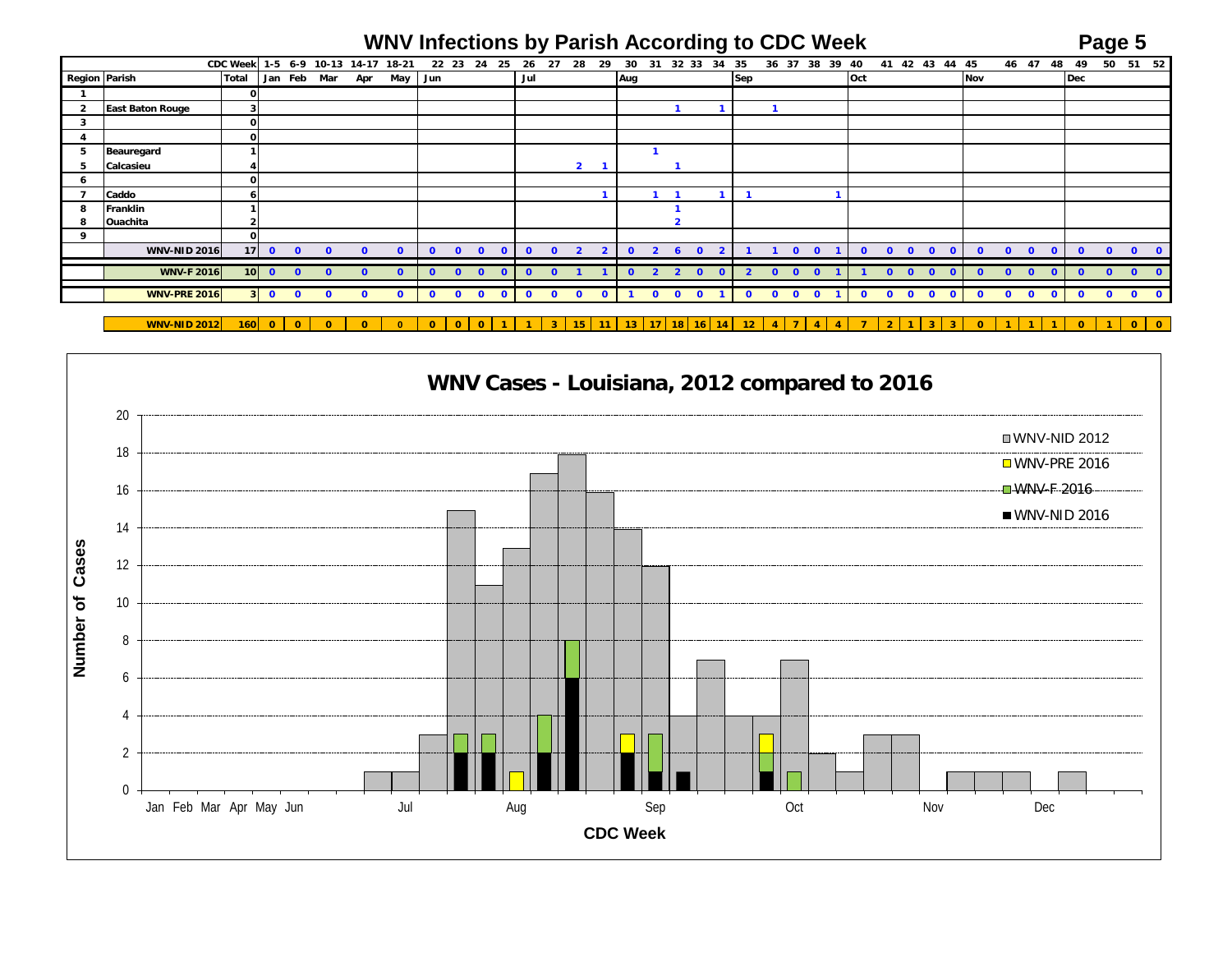## **WNV Infections by Parish According to CDC Week Page 5**

|               |                         | CDC Week 1-5 6-9 10-13 14-17 18-21 |         |                         |              |              |         |              | 22 23 24     | -25                       | 26           | 27           | 28             | 29             | 30       | 31                      | 32 33          | 34                                      | 35 |                |              |              | 36 37 38 39 40 |              |              |                         | 41 42 43 44 45             |     |          | 46 47 48 49  |                         |              |            | 50           | 51 52        |           |
|---------------|-------------------------|------------------------------------|---------|-------------------------|--------------|--------------|---------|--------------|--------------|---------------------------|--------------|--------------|----------------|----------------|----------|-------------------------|----------------|-----------------------------------------|----|----------------|--------------|--------------|----------------|--------------|--------------|-------------------------|----------------------------|-----|----------|--------------|-------------------------|--------------|------------|--------------|--------------|-----------|
| Region Parish |                         | <b>Total</b>                       |         | Jan Feb Mar             |              | Apr          | May Jun |              |              |                           | Jul          |              |                |                | Aug      |                         |                |                                         |    | Sep            |              |              |                | Oct          |              |                         |                            | Nov |          |              |                         |              | Dec        |              |              |           |
|               |                         |                                    |         |                         |              |              |         |              |              |                           |              |              |                |                |          |                         |                |                                         |    |                |              |              |                |              |              |                         |                            |     |          |              |                         |              |            |              |              |           |
|               | <b>East Baton Rouge</b> |                                    |         |                         |              |              |         |              |              |                           |              |              |                |                |          |                         |                |                                         |    |                |              |              |                |              |              |                         |                            |     |          |              |                         |              |            |              |              |           |
| 3             |                         |                                    |         |                         |              |              |         |              |              |                           |              |              |                |                |          |                         |                |                                         |    |                |              |              |                |              |              |                         |                            |     |          |              |                         |              |            |              |              |           |
|               |                         |                                    |         |                         |              |              |         |              |              |                           |              |              |                |                |          |                         |                |                                         |    |                |              |              |                |              |              |                         |                            |     |          |              |                         |              |            |              |              |           |
| ь             | Beauregard              |                                    |         |                         |              |              |         |              |              |                           |              |              |                |                |          |                         |                |                                         |    |                |              |              |                |              |              |                         |                            |     |          |              |                         |              |            |              |              |           |
|               | Calcasieu               |                                    |         |                         |              |              |         |              |              |                           |              |              | $\overline{2}$ |                |          |                         |                |                                         |    |                |              |              |                |              |              |                         |                            |     |          |              |                         |              |            |              |              |           |
|               |                         |                                    |         |                         |              |              |         |              |              |                           |              |              |                |                |          |                         |                |                                         |    |                |              |              |                |              |              |                         |                            |     |          |              |                         |              |            |              |              |           |
|               | Caddo                   |                                    |         |                         |              |              |         |              |              |                           |              |              |                |                |          |                         |                |                                         |    |                |              |              |                |              |              |                         |                            |     |          |              |                         |              |            |              |              |           |
| 8             | Franklin                |                                    |         |                         |              |              |         |              |              |                           |              |              |                |                |          |                         |                |                                         |    |                |              |              |                |              |              |                         |                            |     |          |              |                         |              |            |              |              |           |
| 8             | Ouachita                |                                    |         |                         |              |              |         |              |              |                           |              |              |                |                |          |                         |                |                                         |    |                |              |              |                |              |              |                         |                            |     |          |              |                         |              |            |              |              |           |
| 9             |                         |                                    |         |                         |              |              |         |              |              |                           |              |              |                |                |          |                         |                |                                         |    |                |              |              |                |              |              |                         |                            |     |          |              |                         |              |            |              |              |           |
|               | <b>WNV-NID 2016</b>     |                                    | $17$ 0  | $\mathbf{0}$            | $\mathbf{0}$ | $\mathbf{0}$ |         | $\mathbf{0}$ | $\Omega$     | $\bullet$<br>$\mathbf{0}$ | $\mathbf{0}$ | $\bullet$    | $\overline{2}$ | $\overline{2}$ | $\Omega$ | $\overline{2}$          | 6              | $\mathbf{0}$<br>$\overline{\mathbf{2}}$ |    |                |              | $\Omega$     | $\Omega$       | $\Omega$     | $\Omega$     | $\overline{\mathbf{0}}$ | $\mathbf{0}$<br>$\Omega$   |     | $\Omega$ | $\bullet$    | $\overline{\mathbf{0}}$ | $\Omega$     | $\Omega$   | $\Omega$     | $\mathbf{0}$ |           |
|               | <b>WNV-F 2016</b>       |                                    | $10$ 0  | $\overline{0}$          | $\Omega$     | $\Omega$     |         | $\mathbf{0}$ | $\Omega$     | $\Omega$                  | $\Omega$     | $\Omega$     |                |                | $\Omega$ | $\overline{\mathbf{z}}$ | $\overline{2}$ | <u>െ</u>                                |    | $\overline{2}$ | $\Omega$     | $0 \quad 0$  |                |              | $\Omega$     | $\Omega$                | $\overline{0}$<br>$\Omega$ |     |          | $\Omega$     | $\mathbf{0}$            | $\Omega$     | $\sqrt{ }$ | $\Omega$     | $\Omega$     |           |
|               |                         |                                    |         |                         |              |              |         |              |              |                           |              |              |                |                |          |                         |                |                                         |    |                |              |              |                |              |              |                         |                            |     |          |              |                         |              |            |              |              |           |
|               | <b>WNV-PRE 2016</b>     |                                    | $3 \ 0$ | $\overline{\mathbf{0}}$ | $\Omega$     | $\mathbf{0}$ |         | $\mathbf{0}$ | $\mathbf{0}$ | $\bullet$<br>$\mathbf{O}$ | $\mathbf{o}$ | $\mathbf{0}$ | $\mathbf{0}$   | $\mathbf{0}$   |          | $\mathbf{0}$            | $\mathbf{0}$   | $\mathbf{0}$                            |    | $\mathbf{0}$   | $\mathbf{o}$ | $\mathbf{0}$ | $\mathbf{0}$   | $\mathbf{o}$ | $\mathbf{0}$ | $\bullet$               | $\mathbf{o}$<br>$\Omega$   |     | $\Omega$ | $\mathbf{o}$ | $\mathbf{0}$            | $\mathbf{0}$ | $\Omega$   | $\mathbf{0}$ | $\bullet$    | $\bullet$ |
|               |                         |                                    |         |                         |              |              |         |              |              |                           |              |              |                |                |          |                         |                |                                         |    |                |              |              |                |              |              |                         |                            |     |          |              |                         |              |            |              |              |           |

**WNV-NID 2012 160 0 0 0 0 0 0 0 0 1 1 3 15 11 13 17 18 16 14 12 4 7 4 4 7 2 1 3 3 0 1 1 1 0 1 0 0**

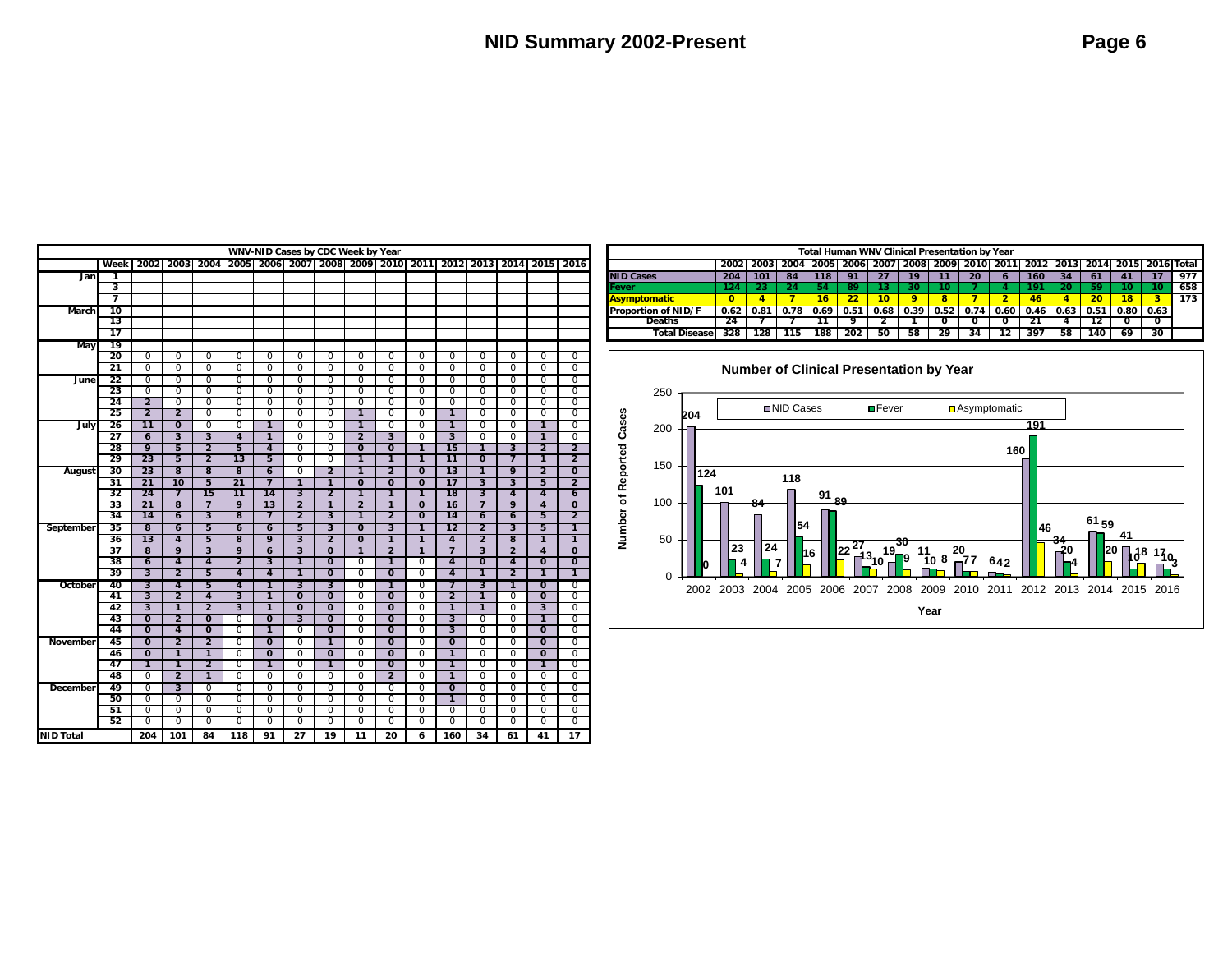| WNV-NID Cases by CDC Week by Year<br>2006   2007   2008   2009   2010   2011 |                 |                                           |                                  |                                  |                         |                                  |                                           |                                  |                                  |                                  |                                  |                                  |                         |                         |                                  |                            |
|------------------------------------------------------------------------------|-----------------|-------------------------------------------|----------------------------------|----------------------------------|-------------------------|----------------------------------|-------------------------------------------|----------------------------------|----------------------------------|----------------------------------|----------------------------------|----------------------------------|-------------------------|-------------------------|----------------------------------|----------------------------|
|                                                                              | Week            | 2002                                      | 2003                             | 2004                             | 2005                    |                                  |                                           |                                  |                                  |                                  |                                  | 2012                             | 2013                    | 2014                    | 2015                             | 2016                       |
| Jan                                                                          | 1               |                                           |                                  |                                  |                         |                                  |                                           |                                  |                                  |                                  |                                  |                                  |                         |                         |                                  |                            |
|                                                                              | 3               |                                           |                                  |                                  |                         |                                  |                                           |                                  |                                  |                                  |                                  |                                  |                         |                         |                                  |                            |
|                                                                              | 7               |                                           |                                  |                                  |                         |                                  |                                           |                                  |                                  |                                  |                                  |                                  |                         |                         |                                  |                            |
| March                                                                        | 10              |                                           |                                  |                                  |                         |                                  |                                           |                                  |                                  |                                  |                                  |                                  |                         |                         |                                  |                            |
|                                                                              | 13              |                                           |                                  |                                  |                         |                                  |                                           |                                  |                                  |                                  |                                  |                                  |                         |                         |                                  |                            |
|                                                                              | $\overline{17}$ |                                           |                                  |                                  |                         |                                  |                                           |                                  |                                  |                                  |                                  |                                  |                         |                         |                                  |                            |
| <b>May</b>                                                                   | 19              |                                           |                                  |                                  |                         |                                  |                                           |                                  |                                  |                                  |                                  |                                  |                         |                         |                                  |                            |
|                                                                              | 20              | 0                                         | $\mathbf 0$                      | 0                                | 0                       | $\mathbf 0$                      | $\mathbf 0$                               | $\mathbf 0$                      | $\mathbf 0$                      | 0                                | $\mathbf 0$                      | $\mathbf 0$                      | $\mathbf 0$             | $\mathbf 0$             | 0                                | $\mathbf 0$                |
|                                                                              | 21              | 0                                         | $\overline{0}$                   | 0                                | 0                       | 0                                | $\overline{0}$                            | 0                                | 0                                | 0                                | 0                                | 0                                | 0                       | 0                       | 0                                | 0                          |
| June                                                                         | $\overline{22}$ | $\overline{0}$                            | $\overline{0}$                   | $\overline{0}$                   | 0                       | 0                                | 0                                         | 0                                | 0                                | 0                                | $\Omega$                         | 0                                | $\overline{0}$          | $\overline{0}$          | 0                                | $\overline{0}$             |
|                                                                              | $\overline{23}$ | $\overline{0}$                            | $\overline{0}$                   | $\overline{0}$                   | $\overline{0}$          | $\overline{0}$                   | $\overline{0}$                            | $\overline{0}$                   | $\overline{0}$                   | 0                                | $\mathbf 0$                      | 0                                | 0                       | $\overline{0}$          | 0                                | 0                          |
|                                                                              | 24              | $\overline{2}$                            | $\overline{0}$                   | $\overline{0}$                   | 0                       | $\overline{0}$                   | $\overline{0}$                            | $\overline{0}$                   | $\overline{0}$                   | $\overline{0}$                   | $\overline{0}$                   | $\overline{0}$                   | $\overline{0}$          | $\overline{0}$          | $\overline{0}$                   | $\overline{0}$             |
|                                                                              | 25              | $\overline{2}$                            | $\overline{2}$                   | $\overline{0}$                   | 0                       | 0                                | $\overline{0}$                            | 0                                | $\overline{1}$                   | $\overline{0}$                   | $\overline{0}$                   | $\overline{1}$                   | 0                       | $\overline{0}$          | $\overline{0}$                   | $\overline{0}$             |
| July                                                                         | 26              | 11                                        | $\overline{0}$                   | $\overline{0}$                   | $\overline{0}$          | $\overline{\mathbf{1}}$          | 0                                         | 0                                | 1                                | 0                                | $\Omega$                         | $\overline{1}$                   | $\Omega$                | $\overline{0}$          | 1                                | $\Omega$                   |
|                                                                              | $\overline{27}$ | $\overline{6}$                            | $\overline{\mathbf{3}}$          | $\overline{\mathbf{3}}$          | $\overline{4}$          | $\overline{1}$                   | $\overline{0}$                            | $\overline{0}$                   | $\overline{2}$                   | $\overline{\mathbf{3}}$          | $\overline{0}$                   | $\overline{\mathbf{3}}$          | $\overline{0}$          | $\overline{0}$          | $\mathbf{1}$                     | $\overline{0}$             |
|                                                                              | 28              | 9                                         | 5                                | $\overline{2}$                   | 5                       | 4                                | $\overline{0}$                            | $\overline{0}$                   | $\overline{0}$                   | $\overline{0}$                   | $\overline{1}$                   | 15                               | $\overline{1}$          | $\overline{3}$          | $\overline{2}$                   | $\overline{2}$             |
|                                                                              | 29              | 23                                        | 5                                | $\overline{\mathbf{2}}$          | 13                      | 5                                | $\overline{0}$                            | $\overline{0}$                   | $\overline{1}$                   | $\overline{1}$                   | $\overline{1}$                   | $\overline{11}$                  | $\overline{0}$          | $\overline{7}$          | $\overline{1}$                   | $\overline{2}$             |
| August                                                                       | 30              | 23                                        | $\overline{\mathbf{8}}$          | 8                                | 8                       | $\overline{6}$                   | 0                                         | $\overline{2}$                   | 1                                | $\overline{2}$                   | $\overline{0}$                   | 13                               | 1                       | 9                       | $\overline{2}$                   | $\overline{0}$             |
|                                                                              | 31              | $\overline{21}$                           | 10                               | $\overline{5}$                   | $\overline{21}$         | $\overline{7}$                   | $\overline{1}$                            | $\overline{1}$                   | $\mathbf 0$                      | $\overline{0}$                   | $\overline{0}$                   | 17                               | 3                       | $\overline{\mathbf{3}}$ | 5                                | $\overline{2}$             |
|                                                                              | 32              | 24                                        | $\overline{7}$                   | 15                               | 11                      | 14                               | $\overline{\mathbf{3}}$                   | $\overline{2}$                   | $\overline{1}$                   | $\overline{1}$                   | $\overline{1}$                   | $\overline{18}$                  | $\overline{\mathbf{3}}$ | $\overline{4}$          | 4                                | $\overline{6}$             |
|                                                                              | $\overline{33}$ | 21                                        | 8                                | $\overline{7}$                   | 9                       | $\overline{13}$                  | $\overline{2}$                            | $\overline{1}$                   | $\overline{2}$                   | $\mathbf{1}$                     | $\mathbf{o}$                     | $\overline{16}$                  | $\overline{7}$          | 9                       | 4                                | $\mathbf{o}$               |
|                                                                              | 34              | 14                                        | $\overline{6}$                   | $\overline{\mathbf{3}}$          | $\overline{\mathbf{8}}$ | 7                                | $\overline{2}$                            | $\overline{\mathbf{3}}$          | $\overline{1}$                   | $\overline{2}$                   | $\overline{0}$                   | 14                               | $\overline{6}$          | $\overline{6}$          | 5                                | $\overline{2}$             |
| September                                                                    | 35              | $\overline{\mathbf{8}}$                   | $\overline{6}$                   | 5                                | 6                       | $\overline{6}$                   | 5                                         | $\overline{\mathbf{3}}$          | $\overline{0}$                   | 3                                | $\overline{1}$                   | 12                               | $\overline{2}$          | $\overline{\mathbf{3}}$ | 5                                | 1                          |
|                                                                              | 36              | $\overline{13}$                           | 4                                | 5                                | 8                       | 9                                | $\overline{\mathbf{3}}$                   | $\overline{2}$                   | $\overline{0}$                   | $\overline{1}$                   | $\overline{1}$                   | $\overline{4}$                   | $\overline{2}$          | 8                       | $\overline{1}$                   | $\overline{1}$             |
|                                                                              | $\overline{37}$ | $\overline{8}$                            | 9                                | $\overline{\mathbf{3}}$          | 9                       | 6                                | $\overline{3}$                            | $\overline{0}$                   | $\mathbf{1}$                     | $\overline{2}$                   | $\mathbf{1}$                     | $\overline{7}$                   | 3                       | $\overline{2}$          | 4                                | $\mathbf{o}$               |
|                                                                              | 38              | 6                                         | $\overline{4}$                   | $\overline{\mathbf{4}}$          | $\overline{2}$          | 3                                | $\overline{1}$                            | $\overline{0}$                   | 0                                | $\mathbf{1}$                     | $\mathbf 0$                      | 4                                | $\mathbf 0$             | $\overline{4}$          | $\mathbf 0$                      | $\overline{0}$             |
|                                                                              | 39              | $\overline{\mathbf{3}}$                   | 2                                | 5                                | 4                       | 4                                | 1                                         | $\overline{0}$                   | 0                                | $\overline{0}$                   | 0                                | 4                                | 1                       | $\overline{2}$          | 1                                | 1                          |
| October                                                                      | 40              | $\overline{\mathbf{3}}$                   | 4                                | 5                                | 4                       | 1                                | $\overline{\mathbf{3}}$                   | $\overline{\mathbf{3}}$          | 0                                | 1                                | $\overline{0}$                   | 7                                | 3                       | 1                       | $\overline{0}$                   | $\overline{0}$             |
|                                                                              | 41              | $\overline{\mathbf{3}}$                   | $\overline{2}$                   | 4                                | 3                       | $\overline{1}$                   | $\overline{0}$                            | $\overline{0}$                   | $\overline{0}$                   | $\overline{0}$                   | $\overline{0}$                   | $\overline{2}$                   | 1                       | $\overline{0}$          | $\overline{0}$                   | 0                          |
|                                                                              | 42<br>43        | $\overline{\mathbf{3}}$<br>$\overline{0}$ | $\overline{1}$<br>$\overline{2}$ | $\overline{2}$<br>$\overline{0}$ | $\overline{\mathbf{3}}$ | $\overline{1}$<br>$\overline{0}$ | $\overline{0}$<br>$\overline{\mathbf{3}}$ | $\overline{0}$<br>$\overline{0}$ | $\overline{0}$                   | $\overline{0}$                   | $\overline{0}$                   | $\overline{1}$                   | $\overline{1}$          | 0                       | $\overline{\mathbf{3}}$          | 0                          |
|                                                                              | 44              | $\overline{0}$                            | 4                                | $\overline{0}$                   | 0<br>0                  | $\overline{1}$                   | $\overline{0}$                            | $\overline{0}$                   | $\overline{0}$<br>$\overline{0}$ | $\overline{0}$<br>$\overline{0}$ | $\overline{0}$<br>$\overline{0}$ | $\overline{3}$<br>$\overline{3}$ | 0<br>0                  | 0<br>0                  | $\overline{1}$<br>$\mathbf{o}$   | $\overline{0}$<br>0        |
|                                                                              | 45              | $\overline{0}$                            | $\overline{2}$                   | 2                                | 0                       | $\overline{0}$                   | 0                                         | 1                                | 0                                | $\overline{0}$                   | $\Omega$                         | $\overline{0}$                   | $\Omega$                | $\overline{0}$          | $\overline{0}$                   | $\overline{0}$             |
| November                                                                     | 46              | $\overline{0}$                            | $\overline{1}$                   | $\overline{1}$                   | 0                       | $\overline{0}$                   | $\overline{0}$                            | $\overline{0}$                   | $\overline{0}$                   | $\overline{0}$                   | 0                                | $\overline{1}$                   | 0                       | 0                       | $\overline{0}$                   | 0                          |
|                                                                              | 47              | $\mathbf{1}$                              | $\mathbf{1}$                     | $\overline{2}$                   | 0                       | $\mathbf{1}$                     | $\mathbf 0$                               | $\mathbf{1}$                     | 0                                | $\overline{0}$                   | $\Omega$                         | $\mathbf{1}$                     | $\Omega$                | $\Omega$                | $\mathbf{1}$                     | $\Omega$                   |
|                                                                              | 48              | 0                                         | 2                                | 1                                | 0                       | 0                                | $\overline{0}$                            | 0                                | 0                                | $\overline{2}$                   | 0                                | 1                                | $\overline{0}$          | $\overline{0}$          | 0                                | $\overline{0}$             |
|                                                                              |                 |                                           |                                  |                                  |                         |                                  |                                           |                                  |                                  |                                  |                                  |                                  |                         |                         |                                  |                            |
| <b>December</b>                                                              | 49              | 0                                         | 3                                | $\overline{0}$                   | 0                       | 0                                | $\overline{0}$                            | 0                                | 0                                | 0                                | $\overline{0}$                   | $\overline{\mathbf{0}}$          | 0                       | 0                       | 0                                | $\overline{0}$             |
|                                                                              | 50              | $\overline{0}$                            | $\overline{0}$                   | 0                                | 0                       | 0                                | $\overline{0}$                            | $\overline{0}$                   | $\overline{0}$                   | 0                                | 0                                | $\overline{1}$                   | 0                       | 0                       | $\overline{0}$                   | 0                          |
|                                                                              | 51<br>52        | $\overline{0}$<br>0                       | $\overline{0}$<br>$\overline{0}$ | $\overline{0}$<br>0              | $\overline{0}$<br>0     | $\overline{0}$<br>$\overline{0}$ | $\overline{0}$<br>$\overline{0}$          | $\overline{0}$<br>0              | $\overline{0}$<br>0              | $\overline{0}$<br>0              | $\Omega$<br>$\overline{0}$       | 0<br>$\overline{0}$              | 0<br>0                  | 0<br>0                  | $\overline{0}$<br>$\overline{0}$ | $\Omega$<br>$\overline{0}$ |
|                                                                              |                 |                                           |                                  |                                  |                         |                                  |                                           |                                  |                                  |                                  |                                  |                                  |                         |                         |                                  |                            |
| <b>NID Total</b>                                                             |                 | 204                                       | 101                              | 84                               | 118                     | 91                               | 27                                        | 19                               | 11                               | 20                               | 6                                | 160                              | 34                      | 61                      | 41                               | 17                         |

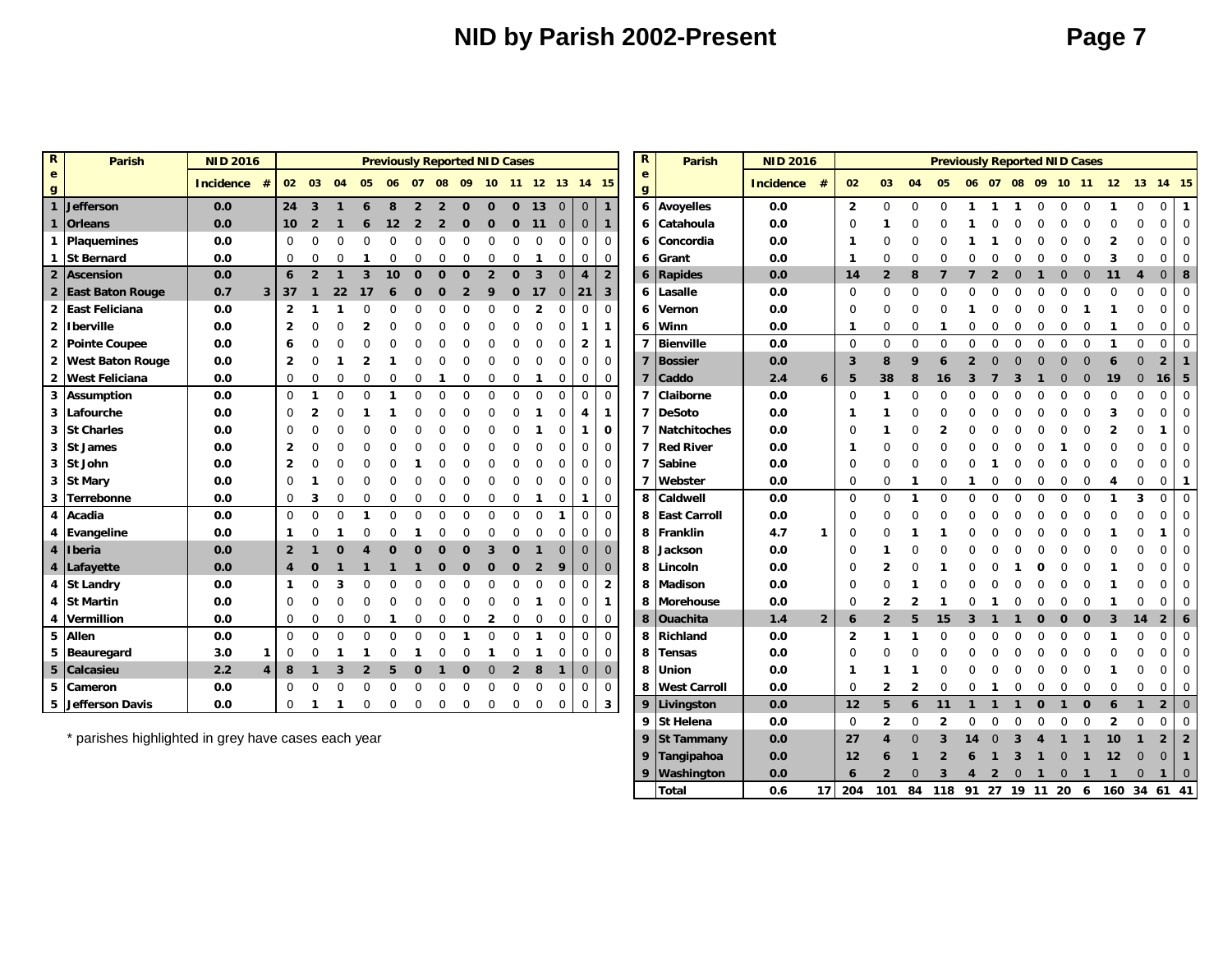## **NID by Parish 2002-Present <b>Page 7**

 **Tangipahoa 0.0 12 6 1 2 6 1 3 1** 0 **1 12** 0 0 **1 Washington 0.0 6 2** 0 **3 4 2** 0 **1** 0 **1 1** 0 **1** 0 **Total 0.6 17 204 101 84 118 91 27 19 11 20 6 160 34 61 41**

| $\mathbb{R}$      | <b>Parish</b>          | <b>NID 2016</b>       |                |                |                |              |                | <b>Previously Reported NID Cases</b> |                |                |             |                   |                |                |                |                |                         | $\mathbb{R}$                 | <b>Parish</b>       | <b>NID 2016</b>  |                |                |                         |                  | <b>Previously Reported NID Cases</b> |          |                   |          |             |             |              |                  |              |                                  |                 |
|-------------------|------------------------|-----------------------|----------------|----------------|----------------|--------------|----------------|--------------------------------------|----------------|----------------|-------------|-------------------|----------------|----------------|----------------|----------------|-------------------------|------------------------------|---------------------|------------------|----------------|----------------|-------------------------|------------------|--------------------------------------|----------|-------------------|----------|-------------|-------------|--------------|------------------|--------------|----------------------------------|-----------------|
| $\mathbf{e}$<br>g |                        | <b>Incidence</b><br># |                | 02 03          |                | 04           | 05             | 06 07                                |                |                | 08 09       | 10 11 12 13 14 15 |                |                |                |                |                         | $\mathbf{e}$<br>$\mathbf{g}$ |                     | <b>Incidence</b> | #              | 02             | 03                      | 04               | 05                                   |          | 06 07 08 09 10 11 |          |             |             |              | 12 <sup>12</sup> | 13           | 14 15                            |                 |
| $\mathbf{1}$      | Jefferson              | 0.0                   |                | $24 \quad 3$   |                | $\mathbf{1}$ | 6              | 8                                    | $\overline{2}$ | $\overline{2}$ | $\Omega$    | $\Omega$          | $\Omega$       | 13             | $\overline{0}$ | $\overline{0}$ | $\overline{1}$          |                              | 6 Avoyelles         | 0.0              |                | $\overline{2}$ | $\Omega$                | $\Omega$         | $\Omega$                             |          |                   |          | $\Omega$    | $\Omega$    | $\Omega$     |                  | $\Omega$     | 0                                |                 |
|                   | <b>Orleans</b>         | 0.0                   |                | 10             | $\overline{2}$ |              | 6              | 12                                   | $\overline{2}$ | $\overline{2}$ | $\mathbf 0$ | $\mathbf 0$       | $\mathbf 0$    | 11             | $\overline{0}$ | $\mathbf{0}$   | $\mathbf{1}$            | 6                            | Catahoula           | 0.0              |                | $\Omega$       |                         |                  |                                      |          |                   |          |             |             | $\Omega$     |                  | $\Omega$     | $\mathbf 0$                      | $\Omega$        |
| $\mathbf{1}$      | Plaquemines            | 0.0                   |                | $\mathbf 0$    | O              | $\Omega$     |                | $\Omega$                             | $\Omega$       |                | $\Omega$    | $\Omega$          |                | $\Omega$       | $\Omega$       | $\Omega$       | $\mathbf 0$             | 6                            | Concordia           | 0.0              |                | - 1            |                         |                  |                                      |          |                   |          |             |             | $\Omega$     |                  | $\Omega$     | $\mathbf 0$                      | $\Omega$        |
| $\mathbf 1$       | <b>St Bernard</b>      | 0.0                   |                | $\mathbf{0}$   | 0              | $\Omega$     |                | O                                    | $\Omega$       |                | $\Omega$    | 0                 | $\Omega$       | -1             | $\mathbf 0$    | 0              | $\mathbf 0$             | 6                            | Grant               | 0.0              |                | - 1            | $\Omega$                |                  |                                      |          |                   |          |             |             |              |                  | O            | $\mathbf 0$                      | $\Omega$        |
|                   | 2 Ascension            | 0.0                   |                | 6              | $\overline{2}$ | $\mathbf 1$  | 3              | 10                                   | $\mathbf{0}$   | $\Omega$       | $\Omega$    | $\overline{2}$    | $\Omega$       | $\overline{3}$ | $\Omega$       | $\overline{4}$ | $\overline{2}$          | $\boldsymbol{6}$             | Rapides             | 0.0              |                | 14             | $\overline{2}$          | 8                |                                      |          |                   |          |             |             | $\Omega$     | 11               | 4            | $\mathbf 0$                      | 8               |
|                   | 2 East Baton Rouge     | 0.7                   | 3 <sup>1</sup> | 37             |                | 22           | 17             |                                      | n              |                |             | q                 | $\Omega$       | 17             | $\overline{0}$ | 21             | $\mathbf{3}$            | 6                            | Lasalle             | 0.0              |                | $\Omega$       | $\Omega$                | O                |                                      |          |                   |          |             |             |              |                  | $\Omega$     | $\mathbf 0$                      |                 |
| $\overline{2}$    | <b>East Feliciana</b>  | 0.0                   |                | $\overline{2}$ |                |              |                |                                      |                |                |             |                   |                | $\mathbf{2}$   | $\Omega$       | $\Omega$       | $\overline{0}$          | 6                            | Vernon              | 0.0              |                | $\Omega$       | $\Omega$                | 0                |                                      |          |                   |          |             |             |              |                  | $\Omega$     | $\mathbf 0$                      |                 |
| $\overline{2}$    | <b>Iberville</b>       | 0.0                   |                | $\overline{2}$ |                |              |                |                                      |                |                |             |                   |                |                |                | 1              | $\mathbf{1}$            | 6                            | Winn                | 0.0              |                | $\mathbf 1$    | $\mathbf 0$             | $\Omega$         |                                      | $\Omega$ |                   |          | $\Omega$    | $\Omega$    | $\Omega$     |                  | 0            | $\mathbf 0$                      | $\Omega$        |
| $\overline{2}$    | <b>Pointe Coupee</b>   | 0.0                   |                | 6              |                |              |                |                                      |                |                |             |                   |                |                |                | $\overline{2}$ | $\mathbf{1}$            | 7                            | <b>Bienville</b>    | 0.0              |                | $\Omega$       | $\Omega$                | $\Omega$         | $\Omega$                             | $\Omega$ | $\Omega$          | $\Omega$ | $\Omega$    | $\Omega$    | $\Omega$     | $\mathbf{1}$     | $\mathbf 0$  | $\mathbf 0$                      | $\Omega$        |
|                   | 2 West Baton Rouge     | 0.0                   |                | $\overline{2}$ |                |              |                |                                      |                |                |             |                   |                |                |                | $\Omega$       | $\mathbf 0$             | $\overline{\mathbf{z}}$      | <b>Bossier</b>      | 0.0              |                | $\overline{3}$ | 8                       | 9                |                                      |          |                   |          |             |             |              |                  | $\Omega$     | $\overline{2}$                   |                 |
|                   | 2 West Feliciana       | 0.0                   |                | $\mathbf 0$    | 0              | $\Omega$     |                |                                      | $\Omega$       |                | $\Omega$    | $\Omega$          | $\Omega$       | -1             | 0              | $\mathbf{0}$   | $\mathbf 0$             |                              | Caddo               | 2.4              | $\mathbf{6}$   | 5              | 38                      | 8                | 16                                   |          |                   |          |             | $\Omega$    | $\mathbf{0}$ | 19               | $\mathbf{0}$ | $16$   5                         |                 |
| $\mathbf{3}$      | <b>Assumption</b>      | 0.0                   |                | $\mathbf 0$    |                | $\Omega$     |                |                                      | $\Omega$       |                | $\Omega$    | $\Omega$          | $\Omega$       | $\Omega$       | $\Omega$       | $\Omega$       | $\Omega$                | 7                            | Claiborne           | 0.0              |                | $\Omega$       |                         | 0                |                                      |          |                   |          |             |             | $\Omega$     |                  | $\Omega$     | $\mathbf 0$                      |                 |
| 3                 | Lafourche              | 0.0                   |                | $\Omega$       |                |              |                |                                      |                |                |             |                   |                |                |                | 4              | $\mathbf{1}$            | 7                            | <b>DeSoto</b>       | 0.0              |                |                |                         |                  |                                      |          |                   |          |             |             |              |                  | $\Omega$     | $\mathbf 0$                      |                 |
| $\mathbf{3}$      | <b>St Charles</b>      | 0.0                   |                | $\Omega$       |                |              |                |                                      |                |                |             |                   |                |                |                |                | $\mathbf{o}$            |                              | <b>Natchitoches</b> | 0.0              |                | $\Omega$       |                         |                  |                                      |          |                   |          |             |             |              |                  |              |                                  |                 |
|                   | 3 St James             | 0.0                   |                | $\overline{2}$ |                |              |                |                                      |                |                |             |                   |                |                |                | $\Omega$       | $\overline{0}$          | 7                            | <b>Red River</b>    | 0.0              |                | $\mathbf{1}$   | $\cap$                  |                  |                                      |          |                   |          |             |             |              |                  | $\Omega$     | $\mathbf 0$                      | $\Omega$        |
|                   | 3 St John              | 0.0                   |                | $\mathbf{2}$   |                |              |                |                                      |                |                |             |                   |                |                |                | $\Omega$       | $\mathbf 0$             | 7                            | Sabine              | 0.0              |                | $\Omega$       | $\Omega$                |                  |                                      |          |                   |          |             |             |              |                  | U            | 0                                | $\Omega$        |
| 3                 | <b>St Mary</b>         | 0.0                   |                | $\Omega$       |                |              |                |                                      |                |                |             |                   |                |                |                | $\Omega$       | $\overline{0}$          | $\overline{ }$               | Webster             | 0.0              |                | 0              | $\Omega$                |                  |                                      |          |                   |          | $\Omega$    | $\mathbf 0$ | $\Omega$     |                  | 0            | $\mathbf 0$                      | - 1             |
| 3                 | Terrebonne             | 0.0                   |                | 0              | 3              | $\Omega$     |                | 0                                    | $\Omega$       |                | $\Omega$    | $\Omega$          | $\Omega$       | -1             | 0              | $\mathbf{1}$   | $\mathbf 0$             | 8                            | Caldwell            | 0.0              |                | $\Omega$       | $\Omega$                |                  | $\Omega$                             | $\Omega$ |                   |          | $\Omega$    | $\Omega$    | $\Omega$     |                  | 3            | $\mathbf 0$                      | $\Omega$        |
| $\overline{4}$    | Acadia                 | 0.0                   |                | $\mathbf 0$    | $\Omega$       | $\Omega$     |                |                                      | $\Omega$       |                | $\Omega$    | $\Omega$          | $\Omega$       | $\Omega$       |                | $\Omega$       | $\mathbf 0$             | 8                            | <b>East Carroll</b> | 0.0              |                | 0              | $\Omega$                |                  |                                      |          |                   |          |             |             |              |                  |              | 0                                | $\Omega$        |
|                   | 4 Evangeline           | 0.0                   |                | 1              |                |              |                |                                      |                |                |             |                   |                |                |                | $\Omega$       | $\overline{0}$          | 8                            | Franklin            | 4.7              | $\mathbf{1}$   | 0              |                         |                  |                                      |          |                   |          |             |             |              |                  |              |                                  |                 |
| $\boldsymbol{A}$  | Iberia                 | 0.0                   |                | $\overline{2}$ |                | $\Omega$     |                | n                                    | $\Omega$       |                | n           |                   |                |                |                | $\Omega$       | $\mathbf{0}$            | 8                            | Jackson             | 0.0              |                | $\Omega$       |                         |                  |                                      |          |                   |          |             |             |              |                  |              | 0                                |                 |
| $\boldsymbol{4}$  | Lafayette              | 0.0                   |                | 4              |                |              |                |                                      |                |                | $\Omega$    | $\Omega$          |                | $\overline{2}$ |                | $\Omega$       | $\mathbf 0$             | 8                            | Lincoln             | 0.0              |                | $\Omega$       |                         |                  |                                      |          |                   |          |             |             |              |                  |              | $\mathbf{0}$                     | $\Omega$        |
|                   | 4 St Landry            | 0.0                   |                | $\mathbf{1}$   |                | 3            |                |                                      |                |                |             |                   |                |                | $\Omega$       | $\Omega$       | $\overline{2}$          | 8                            | Madison             | 0.0              |                | $\Omega$       |                         |                  |                                      |          |                   |          |             |             |              |                  |              | $\Omega$                         |                 |
| $\overline{a}$    | <b>St Martin</b>       | 0.0                   |                | $\mathbf 0$    |                |              |                |                                      |                |                |             |                   |                |                |                | $\Omega$       | $\mathbf{1}$            | 8                            | <b>Morehouse</b>    | 0.0              |                | 0              | $\mathbf{2}$            |                  |                                      |          |                   |          |             |             |              |                  | O            | $\Omega$                         | $\Omega$        |
| $\overline{4}$    | Vermillion             | 0.0                   |                | $\mathbf 0$    | $\Omega$       | $\Omega$     |                |                                      | $\Omega$       |                | $\Omega$    | 2                 | 0              | 0              | $\mathbf 0$    | 0              | $\overline{0}$          | 8                            | <b>Ouachita</b>     | 1.4              | $\overline{2}$ | 6              | $\overline{\mathbf{z}}$ | 5                | 15                                   |          |                   |          |             | Ω           | $\Omega$     | 3                | 14           | $\overline{2}$                   | $6\phantom{1}6$ |
| 5                 | <b>Allen</b>           | 0.0                   |                | $\mathbf 0$    | $\Omega$       | $\Omega$     | $\Omega$       | $\Omega$                             | $\Omega$       | $\Omega$       |             | $\Omega$          | $\Omega$       | $\mathbf 1$    | $\Omega$       | $\Omega$       | $\overline{0}$          | 8                            | Richland            | 0.0              |                | 2              |                         |                  |                                      |          |                   |          |             |             |              |                  | $\Omega$     | $\mathbf 0$                      |                 |
|                   | 5 Beauregard           | 3.0                   | 1              | $\mathbf 0$    | O              |              |                | O                                    |                |                | $\Omega$    | -1                | $\Omega$       | -1             | $\Omega$       | $\Omega$       | $\overline{0}$          | 8                            | <b>Tensas</b>       | 0.0              |                | $\Omega$       |                         |                  |                                      |          |                   |          |             |             |              |                  |              | $\mathbf 0$                      | $\Omega$        |
| $5\phantom{1}$    | Calcasieu              | 2.2                   | $\overline{4}$ | 8              | -1             | 3            | $\overline{2}$ | 5                                    | $\mathbf 0$    | 1              | $\mathbf 0$ | $\mathbf{0}$      | $\overline{2}$ | 8              | $\mathbf{1}$   | $\mathbf 0$    | $\overline{0}$          | 8                            | Union               | 0.0              |                | -1             |                         |                  |                                      |          |                   |          |             |             |              |                  | O            | 0                                | $\Omega$        |
| 5                 | Cameron                | 0.0                   |                | $\mathbf 0$    | $\Omega$       | $\Omega$     | $\Omega$       | $\Omega$                             | $\Omega$       |                | $\mathbf 0$ | $\Omega$          | $\Omega$       | $\Omega$       | $\Omega$       | $\Omega$       | $\mathbf{0}$            |                              | 8 West Carroll      | 0.0              |                | 0              | $\overline{2}$          | $\overline{2}$   | $\Omega$                             | $\Omega$ |                   | $\Omega$ | 0           | $\mathbf 0$ | $\mathbf 0$  | <sup>0</sup>     | $\Omega$     | $\mathbf 0$                      | $\overline{0}$  |
| 5                 | <b>Jefferson Davis</b> | 0.0                   |                | $\mathbf 0$    |                |              | 0              | 0                                    | $\mathbf 0$    | $\mathbf 0$    | $\mathbf 0$ | $\mathbf 0$       | 0              | $\mathbf 0$    | $\mathbf{0}$   | 0              | $\overline{\mathbf{3}}$ | 9                            | Livingston          | 0.0              |                | 12             | 5                       | $\boldsymbol{6}$ | 11                                   |          |                   |          | $\mathbf 0$ |             | $\Omega$     | 6                |              | $\overline{2}$<br>$\overline{0}$ |                 |
|                   |                        |                       |                |                |                |              |                |                                      |                |                |             |                   |                |                |                |                |                         |                              | 9 St Helena         | 0.0              |                | 0              | $\overline{2}$          | $\Omega$         | $\overline{2}$                       | $\Omega$ | $\mathbf 0$       | $\Omega$ | $\Omega$    | $\Omega$    | $\Omega$     | $\overline{2}$   | $\Omega$     | $\Omega$                         | $\overline{0}$  |

\* parishes highlighted in grey have cases each year **9 St Tammany 0.0 27 4** 0 **3 14** 0 **3 4 1 1 10 1 2 2**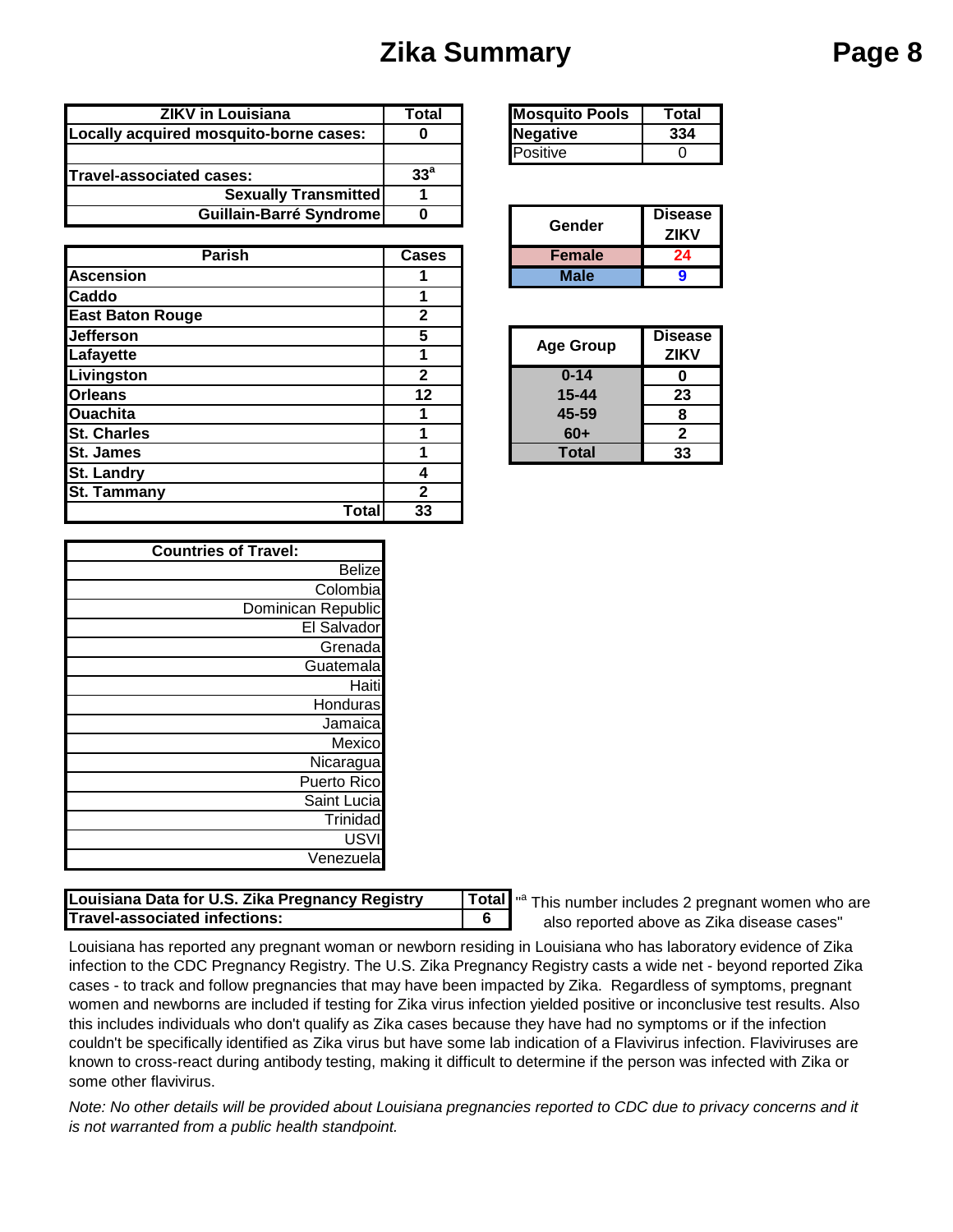# **Zika Summary Page 8**

| <b>ZIKV in Louisiana</b>               | Total           | <b>Mosquito Pools</b> | Total          |
|----------------------------------------|-----------------|-----------------------|----------------|
| Locally acquired mosquito-borne cases: |                 | Negative              |                |
|                                        |                 | Positive              |                |
| <b>Travel-associated cases:</b>        | 33 <sup>a</sup> |                       |                |
| <b>Sexually Transmitted</b>            |                 |                       |                |
| Guillain-Barré Syndrome                |                 | $C$ ondor             | <b>Disease</b> |

| <b>Parish</b>           | <b>Cases</b> | <b>Female</b>    | 24             |
|-------------------------|--------------|------------------|----------------|
| <b>Ascension</b>        |              | <b>Male</b>      | 9              |
| Caddo                   |              |                  |                |
| <b>East Baton Rouge</b> | $\mathbf{2}$ |                  |                |
| <b>Jefferson</b>        | 5            | <b>Age Group</b> | <b>Disease</b> |
| Lafayette               |              |                  | <b>ZIKV</b>    |
| <b>Livingston</b>       | $\mathbf{2}$ | $0 - 14$         | O              |
| <b>Orleans</b>          | 12           | $15 - 44$        | 23             |
| <b>Ouachita</b>         |              | 45-59            | 8              |
| <b>St. Charles</b>      |              | $60+$            | $\mathbf{2}$   |
| <b>St. James</b>        |              | <b>Total</b>     | 33             |
| <b>St. Landry</b>       | 4            |                  |                |
| <b>St. Tammany</b>      | 2            |                  |                |
| Total                   | 33           |                  |                |

| <b>Mosquito Pools</b> | Total |
|-----------------------|-------|
| <b>Negative</b>       |       |
| Positive              |       |

| Gender        | <b>Disease</b> |
|---------------|----------------|
|               | <b>ZIKV</b>    |
| <b>Female</b> |                |
| Male          |                |

| <b>Age Group</b> | <b>Disease</b><br><b>ZIKV</b> |
|------------------|-------------------------------|
| $0 - 14$         |                               |
| $15 - 44$        | 23                            |
| 45-59            | 8                             |
| $60+$            | 2                             |
| Total            | 33                            |

| <b>Countries of Travel:</b> |  |  |
|-----------------------------|--|--|
| <b>Belize</b>               |  |  |
| Colombia                    |  |  |
| Dominican Republic          |  |  |
| El Salvador                 |  |  |
| Grenada                     |  |  |
| Guatemala                   |  |  |
| Haiti                       |  |  |
| Honduras                    |  |  |
| Jamaica                     |  |  |
| Mexico                      |  |  |
| Nicaragua                   |  |  |
| Puerto Rico                 |  |  |
| Saint Lucia                 |  |  |
| Trinidad                    |  |  |
| USVI                        |  |  |
| Venezuela                   |  |  |

| Louisiana Data for U.S. Zika Pregnancy Registry | l Totall |
|-------------------------------------------------|----------|
| Travel-associated infections:                   |          |

"<sup>a</sup> This number includes 2 pregnant women who are also reported above as Zika disease cases"

Louisiana has reported any pregnant woman or newborn residing in Louisiana who has laboratory evidence of Zika infection to the CDC Pregnancy Registry. The U.S. Zika Pregnancy Registry casts a wide net - beyond reported Zika cases - to track and follow pregnancies that may have been impacted by Zika. Regardless of symptoms, pregnant women and newborns are included if testing for Zika virus infection yielded positive or inconclusive test results. Also this includes individuals who don't qualify as Zika cases because they have had no symptoms or if the infection couldn't be specifically identified as Zika virus but have some lab indication of a Flavivirus infection. Flaviviruses are known to cross-react during antibody testing, making it difficult to determine if the person was infected with Zika or some other flavivirus.

*Note: No other details will be provided about Louisiana pregnancies reported to CDC due to privacy concerns and it is not warranted from a public health standpoint.*